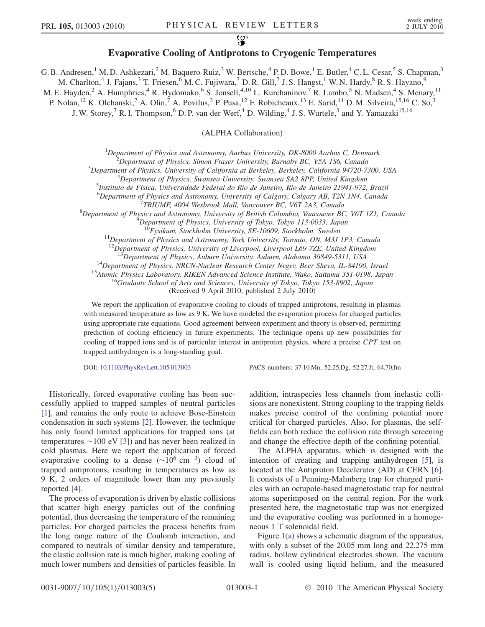## $\mathbb{Z}$  is positive cooling of Antiprotons to Cryogenic Temperatures

G. B. Andresen,<sup>1</sup> M. D. Ashkezari,<sup>2</sup> M. Baquero-Ruiz,<sup>3</sup> W. Bertsche,<sup>4</sup> P. D. Bowe,<sup>1</sup> E. Butler,<sup>4</sup> C. L. Cesar,<sup>5</sup> S. Chapman,<sup>3</sup>

M. Charlton,<sup>4</sup> J. Fajans,<sup>3</sup> T. Friesen,<sup>6</sup> M. C. Fujiwara,<sup>7</sup> D. R. Gill,<sup>7</sup> J. S. Hangst,<sup>1</sup> W. N. Hardy,<sup>8</sup> R. S. Hayano,<sup>9</sup>

M. E. Hayden,<sup>2</sup> A. Humphries,<sup>4</sup> R. Hydomako,<sup>6</sup> S. Jonsell,<sup>4,10</sup> L. Kurchaninov,<sup>7</sup> R. Lambo,<sup>5</sup> N. Madsen,<sup>4</sup> S. Menary,<sup>11</sup>

P. Nolan,<sup>12</sup> K. Olchanski,<sup>7</sup> A. Olin,<sup>7</sup> A. Povilus,<sup>3</sup> P. Pusa,<sup>12</sup> F. Robicheaux,<sup>13</sup> E. Sarid,<sup>14</sup> D.M. Silveira,<sup>15,16</sup> C. So,<sup>3</sup>

J. W. Storey,<sup>7</sup> R. I. Thompson,<sup>6</sup> D. P. van der Werf,<sup>4</sup> D. Wilding,<sup>4</sup> J. S. Wurtele,<sup>3</sup> and Y. Yamazaki<sup>15,16</sup>

(ALPHA Collaboration)

<sup>1</sup>Department of Physics and Astronomy, Aarhus University, DK-8000 Aarhus C, Denmark<sup>2</sup><br><sup>2</sup>Department of Physics, Simon Frascy University, Burnahy PC, V54, JS6, Canada

 $^{2}$ Department of Physics, Simon Fraser University, Burnaby BC, V5A 1S6, Canada

<sup>3</sup>Department of Physics, University of California at Berkeley, Berkeley, California 94720-7300, USA

<sup>4</sup>Department of Physics, Swansea University, Swansea SA2 8PP, United Kingdom

<sup>5</sup>Instituto de Física, Universidade Federal do Rio de Janeiro, Rio de Janeiro 21941-972, Brazil

 ${}^{6}$ Department of Physics and Astronomy, University of Calgary, Calgary AB, T2N 1N4, Canada

 $T$ TRIUMF, 4004 Wesbrook Mall, Vancouver BC, V6T 2A3, Canada

 ${}^{8}$ Department of Physics and Astronomy, University of British Columbia, Vancouver BC, V6T 1Z1, Canada

<sup>9</sup>Department of Physics, University of Tokyo, Tokyo 113-0033, Japan<br><sup>10</sup>Fysikum, Stockholm University, SE-10609, Stockholm, Sweden

 $11$ Department of Physics and Astronomy, York University, Toronto, ON, M3J 1P3, Canada

<sup>12</sup>Department of Physics, University of Liverpool, Liverpool L69 7ZE, United Kingdom<br><sup>13</sup>Department of Physics, Auburn University, Auburn, Alabama 36849-5311, USA

<sup>14</sup>Department of Physics, NRCN-Nuclear Research Center Negev, Beer Sheva, IL-84190, Israel<br><sup>15</sup>Atomic Physics Laboratory, RIKEN Advanced Science Institute, Wako, Saitama 351-0198, Japan<br><sup>16</sup>Graduate School of Arts and Sc

(Received 9 April 2010; published 2 July 2010)

We report the application of evaporative cooling to clouds of trapped antiprotons, resulting in plasmas with measured temperature as low as 9 K. We have modeled the evaporation process for charged particles using appropriate rate equations. Good agreement between experiment and theory is observed, permitting prediction of cooling efficiency in future experiments. The technique opens up new possibilities for cooling of trapped ions and is of particular interest in antiproton physics, where a precise CPT test on trapped antihydrogen is a long-standing goal.

DOI: [10.1103/PhysRevLett.105.013003](http://dx.doi.org/10.1103/PhysRevLett.105.013003) PACS numbers: 37.10.Mn, 52.25.Dg, 52.27.Jt, 64.70.fm

Historically, forced evaporative cooling has been successfully applied to trapped samples of neutral particles [\[1\]](#page-4-0), and remains the only route to achieve Bose-Einstein condensation in such systems [\[2](#page-4-1)]. However, the technique has only found limited applications for trapped ions (at temperatures  $\sim$ 100 eV [\[3](#page-4-2)]) and has never been realized in cold plasmas. Here we report the application of forced evaporative cooling to a dense  $(\sim 10^6 \text{ cm}^{-3})$  cloud of tranned antiprotons resulting in temperatures as low as trapped antiprotons, resulting in temperatures as low as 9 K, 2 orders of magnitude lower than any previously reported [\[4\]](#page-4-3).

The process of evaporation is driven by elastic collisions that scatter high energy particles out of the confining potential, thus decreasing the temperature of the remaining particles. For charged particles the process benefits from the long range nature of the Coulomb interaction, and compared to neutrals of similar density and temperature, the elastic collision rate is much higher, making cooling of much lower numbers and densities of particles feasible. In

addition, intraspecies loss channels from inelastic collisions are nonexistent. Strong coupling to the trapping fields makes precise control of the confining potential more critical for charged particles. Also, for plasmas, the selffields can both reduce the collision rate through screening and change the effective depth of the confining potential.

The ALPHA apparatus, which is designed with the intention of creating and trapping antihydrogen [\[5\]](#page-4-4), is located at the Antiproton Decelerator (AD) at CERN [[6\]](#page-4-5). It consists of a Penning-Malmberg trap for charged particles with an octupole-based magnetostatic trap for neutral atoms superimposed on the central region. For the work presented here, the magnetostatic trap was not energized and the evaporative cooling was performed in a homogeneous 1 T solenoidal field.

Figure [1\(a\)](#page-1-0) shows a schematic diagram of the apparatus, with only a subset of the 20.05 mm long and 22.275 mm radius, hollow cylindrical electrodes shown. The vacuum wall is cooled using liquid helium, and the measured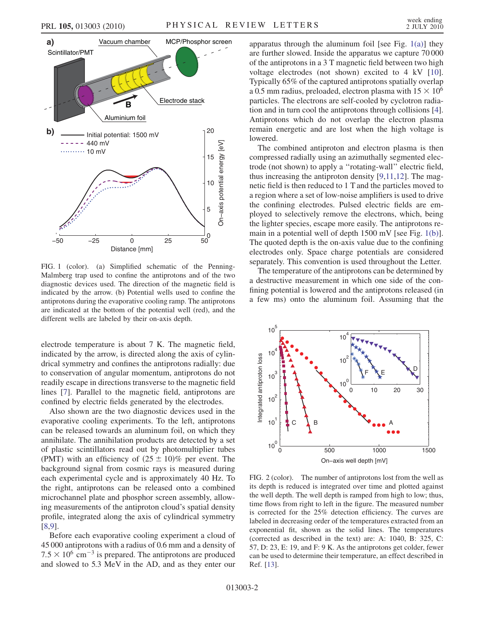

<span id="page-1-0"></span>FIG. 1 (color). (a) Simplified schematic of the Penning-Malmberg trap used to confine the antiprotons and of the two diagnostic devices used. The direction of the magnetic field is indicated by the arrow. (b) Potential wells used to confine the antiprotons during the evaporative cooling ramp. The antiprotons are indicated at the bottom of the potential well (red), and the different wells are labeled by their on-axis depth.

electrode temperature is about 7 K. The magnetic field, indicated by the arrow, is directed along the axis of cylindrical symmetry and confines the antiprotons radially: due to conservation of angular momentum, antiprotons do not readily escape in directions transverse to the magnetic field lines [[7](#page-4-6)]. Parallel to the magnetic field, antiprotons are confined by electric fields generated by the electrodes.

Also shown are the two diagnostic devices used in the evaporative cooling experiments. To the left, antiprotons can be released towards an aluminum foil, on which they annihilate. The annihilation products are detected by a set of plastic scintillators read out by photomultiplier tubes (PMT) with an efficiency of  $(25 \pm 10)\%$  per event. The background signal from cosmic rays is measured during each experimental cycle and is approximately 40 Hz. To the right, antiprotons can be released onto a combined microchannel plate and phosphor screen assembly, allowing measurements of the antiproton cloud's spatial density profile, integrated along the axis of cylindrical symmetry [\[8,](#page-4-7)[9](#page-4-8)].

Before each evaporative cooling experiment a cloud of 45 000 antiprotons with a radius of 0.6 mm and a density of  $7.5 \times 10^6$  cm<sup>-3</sup> is prepared. The antiprotons are produced<br>and slowed to 5.3 MeV in the AD, and as they enter our and slowed to 5.3 MeV in the AD, and as they enter our apparatus through the aluminum foil [see Fig.  $1(a)$ ] they are further slowed. Inside the apparatus we capture 70 000 of the antiprotons in a 3 T magnetic field between two high voltage electrodes (not shown) excited to 4 kV [[10\]](#page-4-9). Typically 65% of the captured antiprotons spatially overlap a 0.5 mm radius, preloaded, electron plasma with  $15 \times 10^6$ particles. The electrons are self-cooled by cyclotron radiation and in turn cool the antiprotons through collisions [[4\]](#page-4-3). Antiprotons which do not overlap the electron plasma remain energetic and are lost when the high voltage is lowered.

The combined antiproton and electron plasma is then compressed radially using an azimuthally segmented electrode (not shown) to apply a ''rotating-wall'' electric field, thus increasing the antiproton density [\[9](#page-4-8),[11](#page-4-10)[,12](#page-4-11)]. The magnetic field is then reduced to 1 T and the particles moved to a region where a set of low-noise amplifiers is used to drive the confining electrodes. Pulsed electric fields are employed to selectively remove the electrons, which, being the lighter species, escape more easily. The antiprotons remain in a potential well of depth 1500 mV [see Fig. [1\(b\)\]](#page-1-0). The quoted depth is the on-axis value due to the confining electrodes only. Space charge potentials are considered separately. This convention is used throughout the Letter.

The temperature of the antiprotons can be determined by a destructive measurement in which one side of the confining potential is lowered and the antiprotons released (in a few ms) onto the aluminum foil. Assuming that the

<span id="page-1-1"></span>

FIG. 2 (color). The number of antiprotons lost from the well as its depth is reduced is integrated over time and plotted against the well depth. The well depth is ramped from high to low; thus, time flows from right to left in the figure. The measured number is corrected for the 25% detection efficiency. The curves are labeled in decreasing order of the temperatures extracted from an exponential fit, shown as the solid lines. The temperatures (corrected as described in the text) are: A: 1040, B: 325, C: 57, D: 23, E: 19, and F: 9 K. As the antiprotons get colder, fewer can be used to determine their temperature, an effect described in Ref. [\[13\]](#page-4-12).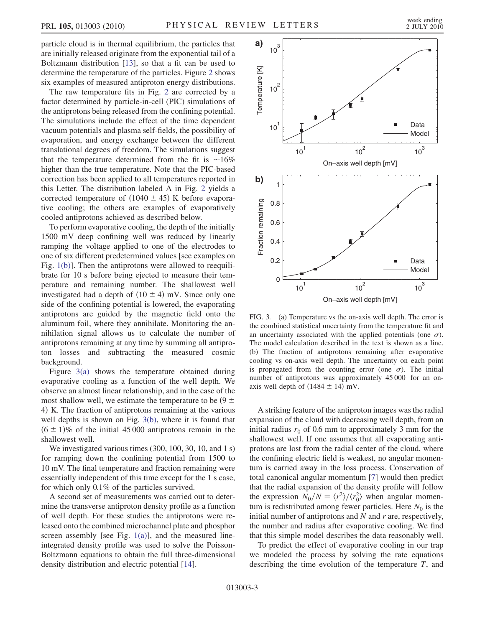particle cloud is in thermal equilibrium, the particles that are initially released originate from the exponential tail of a Boltzmann distribution [[13](#page-4-12)], so that a fit can be used to determine the temperature of the particles. Figure [2](#page-1-1) shows six examples of measured antiproton energy distributions.

The raw temperature fits in Fig. [2](#page-1-1) are corrected by a factor determined by particle-in-cell (PIC) simulations of the antiprotons being released from the confining potential. The simulations include the effect of the time dependent vacuum potentials and plasma self-fields, the possibility of evaporation, and energy exchange between the different translational degrees of freedom. The simulations suggest that the temperature determined from the fit is  $\sim 16\%$ higher than the true temperature. Note that the PIC-based correction has been applied to all temperatures reported in this Letter. The distribution labeled A in Fig. [2](#page-1-1) yields a corrected temperature of  $(1040 \pm 45)$  K before evaporative cooling; the others are examples of evaporatively cooled antiprotons achieved as described below.

To perform evaporative cooling, the depth of the initially 1500 mV deep confining well was reduced by linearly ramping the voltage applied to one of the electrodes to one of six different predetermined values [see examples on Fig. [1\(b\)](#page-1-0)]. Then the antiprotons were allowed to reequilibrate for 10 s before being ejected to measure their temperature and remaining number. The shallowest well investigated had a depth of  $(10 \pm 4)$  mV. Since only one side of the confining potential is lowered, the evaporating antiprotons are guided by the magnetic field onto the aluminum foil, where they annihilate. Monitoring the annihilation signal allows us to calculate the number of antiprotons remaining at any time by summing all antiproton losses and subtracting the measured cosmic background.

Figure [3\(a\)](#page-2-0) shows the temperature obtained during evaporative cooling as a function of the well depth. We observe an almost linear relationship, and in the case of the most shallow well, we estimate the temperature to be  $(9 \pm 1)$ 4<sup>Þ</sup> K. The fraction of antiprotons remaining at the various well depths is shown on Fig. [3\(b\),](#page-2-0) where it is found that  $(6 \pm 1)\%$  of the initial 45 000 antiprotons remain in the shallowest well.

We investigated various times (300, 100, 30, 10, and 1 s) for ramping down the confining potential from 1500 to 10 mV. The final temperature and fraction remaining were essentially independent of this time except for the 1 s case, for which only 0.1% of the particles survived.

A second set of measurements was carried out to determine the transverse antiproton density profile as a function of well depth. For these studies the antiprotons were released onto the combined microchannel plate and phosphor screen assembly [see Fig.  $1(a)$ ], and the measured lineintegrated density profile was used to solve the Poisson-Boltzmann equations to obtain the full three-dimensional density distribution and electric potential [\[14\]](#page-4-13).

<span id="page-2-1"></span>

<span id="page-2-0"></span>FIG. 3. (a) Temperature vs the on-axis well depth. The error is the combined statistical uncertainty from the temperature fit and an uncertainty associated with the applied potentials (one  $\sigma$ ). The model calculation described in the text is shown as a line. (b) The fraction of antiprotons remaining after evaporative cooling vs on-axis well depth. The uncertainty on each point is propagated from the counting error (one  $\sigma$ ). The initial number of antiprotons was approximately 45 000 for an onaxis well depth of  $(1484 \pm 14)$  mV.

A striking feature of the antiproton images was the radial expansion of the cloud with decreasing well depth, from an initial radius  $r_0$  of 0.6 mm to approximately 3 mm for the shallowest well. If one assumes that all evaporating antiprotons are lost from the radial center of the cloud, where the confining electric field is weakest, no angular momentum is carried away in the loss process. Conservation of total canonical angular momentum [[7](#page-4-6)] would then predict that the radial expansion of the density profile will follow the expression  $\overline{N_0}/N = \langle r^2 \rangle / \langle r_0^2 \rangle$  when angular momen-<br>tum is redistributed among fewer particles. Here  $N_c$  is the tum is redistributed among fewer particles. Here  $N_0$  is the initial number of antiprotons and  $N$  and  $r$  are, respectively, the number and radius after evaporative cooling. We find that this simple model describes the data reasonably well.

To predict the effect of evaporative cooling in our trap we modeled the process by solving the rate equations describing the time evolution of the temperature  $T$ , and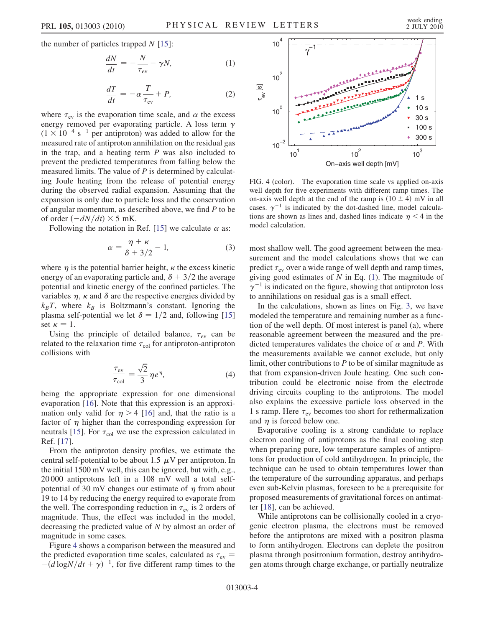the number of particles trapped  $N$  [\[15\]](#page-4-14):

$$
\frac{dN}{dt} = -\frac{N}{\tau_{\text{ev}}} - \gamma N,\tag{1}
$$

$$
\frac{dT}{dt} = -\alpha \frac{T}{\tau_{\text{ev}}} + P,\tag{2}
$$

<span id="page-3-1"></span>where  $\tau_{\text{ev}}$  is the evaporation time scale, and  $\alpha$  the excess energy removed per evaporating particle. A loss term  $\gamma$  $(1 \times 10^{-4} \text{ s}^{-1}$  per antiproton) was added to allow for the measured rate of antiproton annihilation on the residual gas measured rate of antiproton annihilation on the residual gas in the trap, and a heating term  $P$  was also included to prevent the predicted temperatures from falling below the measured limits. The value of P is determined by calculating Joule heating from the release of potential energy during the observed radial expansion. Assuming that the expansion is only due to particle loss and the conservation of angular momentum, as described above, we find P to be of order  $\left(-\frac{dN}{dt}\right) \times 5$  mK.<br>Following the notation in

Following the notation in Ref. [[15](#page-4-14)] we calculate  $\alpha$  as:

$$
\alpha = \frac{\eta + \kappa}{\delta + 3/2} - 1,\tag{3}
$$

where  $\eta$  is the potential barrier height,  $\kappa$  the excess kinetic energy of an evaporating particle and,  $\delta + 3/2$  the average potential and kinetic energy of the confined particles. The variables  $\eta$ ,  $\kappa$  and  $\delta$  are the respective energies divided by  $k_BT$ , where  $k_B$  is Boltzmann's constant. Ignoring the plasma self-potential we let  $\delta = 1/2$  and, following [\[15\]](#page-4-14) set  $\kappa = 1$ .

Using the principle of detailed balance,  $\tau_{\text{ev}}$  can be ated to the relaxation time  $\tau_{\text{ev}}$  for antiproton-antiproton related to the relaxation time  $\tau_{\text{col}}$  for antiproton-antiproton collisions with collisions with

$$
\frac{\tau_{\text{ev}}}{\tau_{\text{col}}} = \frac{\sqrt{2}}{3} \eta e^{\eta},\tag{4}
$$

being the appropriate expression for one dimensional evaporation [[16](#page-4-15)]. Note that this expression is an approximation only valid for  $\eta > 4$  [[16](#page-4-15)] and, that the ratio is a factor of  $\eta$  higher than the corresponding expression for neutrals [[15](#page-4-14)]. For  $\tau_{\text{col}}$  we use the expression calculated in  $R_{\text{ref}}$  [17] Ref. [\[17\]](#page-4-16).

From the antiproton density profiles, we estimate the central self-potential to be about 1.5  $\mu$ V per antiproton. In the initial 1500 mV well, this can be ignored, but with, e.g., 20 000 antiprotons left in a 108 mV well a total selfpotential of 30 mV changes our estimate of  $\eta$  from about 19 to 14 by reducing the energy required to evaporate from the well. The corresponding reduction in  $\tau_{ev}$  is 2 orders of magnitude. Thus, the effect was included in the model magnitude. Thus, the effect was included in the model, decreasing the predicted value of N by almost an order of magnitude in some cases.

Figure [4](#page-3-0) shows a comparison between the measured and the predicted evaporation time scales, calculated as  $\tau_{ev}$  =  $\frac{ev}{v} =$  $-(\overline{d} \log N/dt + \gamma)^{-1}$ , for five different ramp times to the

<span id="page-3-0"></span>

FIG. 4 (color). The evaporation time scale vs applied on-axis well depth for five experiments with different ramp times. The on-axis well depth at the end of the ramp is  $(10 \pm 4)$  mV in all cases.  $\gamma^{-1}$  is indicated by the dot-dashed line, model calculations are shown as lines and, dashed lines indicate  $\eta$  < 4 in the model calculation.

most shallow well. The good agreement between the measurement and the model calculations shows that we can predict  $\tau_{ev}$  over a wide range of well depth and ramp times,<br>giving good estimates of N in Eq. (1). The magnitude of giving good estimates of  $N$  in Eq. ([1\)](#page-3-1). The magnitude of  $\gamma^{-1}$  is indicated on the figure, showing that antiproton loss to annihilations on residual gas is a small effect.

In the calculations, shown as lines on Fig. [3](#page-2-1), we have modeled the temperature and remaining number as a function of the well depth. Of most interest is panel (a), where reasonable agreement between the measured and the predicted temperatures validates the choice of  $\alpha$  and P. With the measurements available we cannot exclude, but only limit, other contributions to  $P$  to be of similar magnitude as that from expansion-driven Joule heating. One such contribution could be electronic noise from the electrode driving circuits coupling to the antiprotons. The model also explains the excessive particle loss observed in the 1 s ramp. Here  $\tau_{ev}$  becomes too short for rethermalization and  $\eta$  is forced below one.

Evaporative cooling is a strong candidate to replace electron cooling of antiprotons as the final cooling step when preparing pure, low temperature samples of antiprotons for production of cold antihydrogen. In principle, the technique can be used to obtain temperatures lower than the temperature of the surrounding apparatus, and perhaps even sub-Kelvin plasmas, foreseen to be a prerequisite for proposed measurements of gravitational forces on antimatter [[18](#page-4-17)], can be achieved.

While antiprotons can be collisionally cooled in a cryogenic electron plasma, the electrons must be removed before the antiprotons are mixed with a positron plasma to form antihydrogen. Electrons can deplete the positron plasma through positronium formation, destroy antihydrogen atoms through charge exchange, or partially neutralize